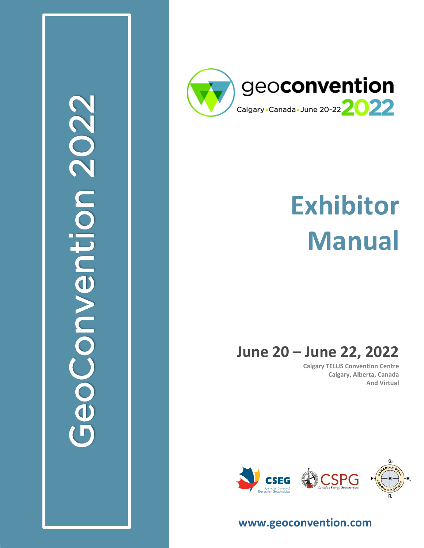

**GeoConvention 2020**



# **Exhibitor Manual**

## **June 20 – June 22, 20 2 2**

**Calgary TELUS Convention Centre Calgary, Alberta, Canada And Virtual**



**[www.geoconvention.com](http://www.geoconvention.com/)**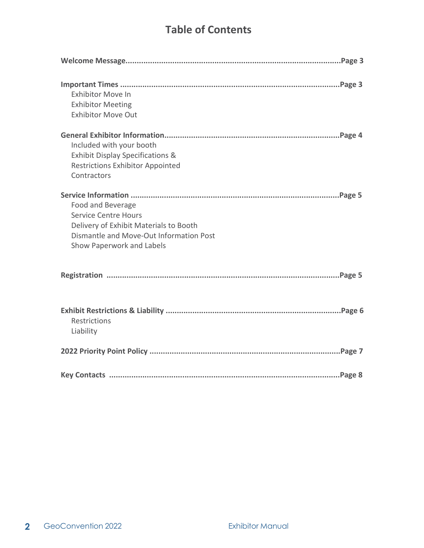## **Table of Contents**

| <b>Exhibitor Move In</b><br><b>Exhibitor Meeting</b><br><b>Exhibitor Move Out</b>                                                                                  |
|--------------------------------------------------------------------------------------------------------------------------------------------------------------------|
| Included with your booth<br><b>Exhibit Display Specifications &amp;</b><br><b>Restrictions Exhibitor Appointed</b><br>Contractors                                  |
| Food and Beverage<br><b>Service Centre Hours</b><br>Delivery of Exhibit Materials to Booth<br>Dismantle and Move-Out Information Post<br>Show Paperwork and Labels |
|                                                                                                                                                                    |
| Restrictions<br>Liability                                                                                                                                          |
|                                                                                                                                                                    |
|                                                                                                                                                                    |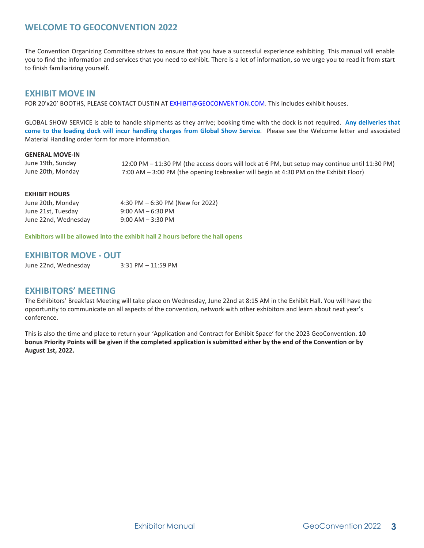## **WELCOME TO GEOCONVENTION 2022**

The Convention Organizing Committee strives to ensure that you have a successful experience exhibiting. This manual will enable you to find the information and services that you need to exhibit. There is a lot of information, so we urge you to read it from start to finish familiarizing yourself.

## **EXHIBIT MOVE IN**

FOR 20'x20' BOOTHS, PLEASE CONTACT DUSTIN A[T EXHIBIT@GEOCONVENTION.COM.](mailto:EXHIBIT@GEOCONVENTION.COM.) This includes exhibit houses.

GLOBAL SHOW SERVICE is able to handle shipments as they arrive; booking time with the dock is not required. **Any deliveries that come to the loading dock will incur handling charges from Global Show Service**. Please see the Welcome letter and associated Material Handling order form for more information.

#### **GENERAL MOVE-IN**

June 19th, Sunday June 20th, Monday 12:00 PM – 11:30 PM (the access doors will lock at 6 PM, but setup may continue until 11:30 PM) 7:00 AM – 3:00 PM (the opening Icebreaker will begin at 4:30 PM on the Exhibit Floor)

## **EXHIBIT HOURS**

| June 20th, Monday    | 4:30 PM $-6:30$ PM (New for 2022) |
|----------------------|-----------------------------------|
| June 21st, Tuesday   | $9:00$ AM $-6:30$ PM              |
| June 22nd, Wednesday | $9:00$ AM $-3:30$ PM              |

**Exhibitors will be allowed into the exhibit hall 2 hours before the hall opens**

## **EXHIBITOR MOVE - OUT**

June 22nd, Wednesday 3:31 PM – 11:59 PM

## **EXHIBITORS' MEETING**

The Exhibitors' Breakfast Meeting will take place on Wednesday, June 22nd at 8:15 AM in the Exhibit Hall. You will have the opportunity to communicate on all aspects of the convention, network with other exhibitors and learn about next year's conference.

This is also the time and place to return your 'Application and Contract for Exhibit Space' for the 2023 GeoConvention. **10 bonus Priority Points will be given if the completed application is submitted either by the end of the Convention or by August 1st, 2022.**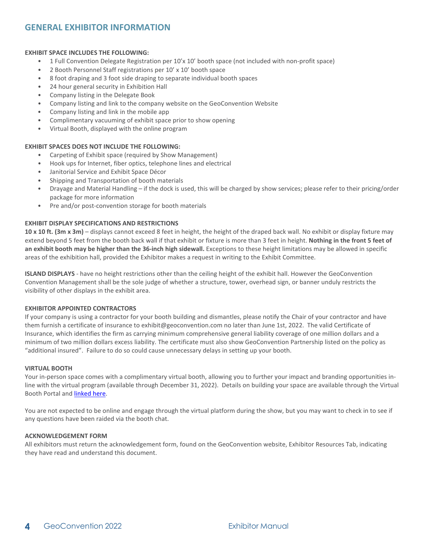## **GENERAL EXHIBITOR INFORMATION**

#### **EXHIBIT SPACE INCLUDES THE FOLLOWING:**

- **•** 1 Full Convention Delegate Registration per 10'x 10' booth space (not included with non-profit space)
- **•** 2 Booth Personnel Staff registrations per 10' x 10' booth space
- **•** 8 foot draping and 3 foot side draping to separate individual booth spaces
- **•** 24 hour general security in Exhibition Hall
- **•** Company listing in the Delegate Book
- **•** Company listing and link to the company website on the GeoConvention Website
- **•** Company listing and link in the mobile app
- **•** Complimentary vacuuming of exhibit space prior to show opening
- **•** Virtual Booth, displayed with the online program

#### **EXHIBIT SPACES DOES NOT INCLUDE THE FOLLOWING:**

- **•** Carpeting of Exhibit space (required by Show Management)
- **•** Hook ups for Internet, fiber optics, telephone lines and electrical
- **•** Janitorial Service and Exhibit Space Décor
- **•** Shipping and Transportation of booth materials
- **•** Drayage and Material Handling if the dock is used, this will be charged by show services; please refer to their pricing/order package for more information
- **•** Pre and/or post-convention storage for booth materials

#### **EXHIBIT DISPLAY SPECIFICATIONS AND RESTRICTIONS**

**10 x 10 ft. (3m x 3m)** – displays cannot exceed 8 feet in height, the height of the draped back wall. No exhibit or display fixture may extend beyond 5 feet from the booth back wall if that exhibit or fixture is more than 3 feet in height. **Nothing in the front 5 feet of an exhibit booth may be higher than the 36-inch high sidewall.** Exceptions to these height limitations may be allowed in specific areas of the exhibition hall, provided the Exhibitor makes a request in writing to the Exhibit Committee.

**ISLAND DISPLAYS** - have no height restrictions other than the ceiling height of the exhibit hall. However the GeoConvention Convention Management shall be the sole judge of whether a structure, tower, overhead sign, or banner unduly restricts the visibility of other displays in the exhibit area.

#### **EXHIBITOR APPOINTED CONTRACTORS**

If your company is using a contractor for your booth building and dismantles, please notify the Chair of your contractor and have them furnish a certificate of insurance to [exhibit@geoconvention.com](mailto:exhibit@geoconvention.com) no later than June 1st, 2022. The valid Certificate of Insurance, which identifies the firm as carrying minimum comprehensive general liability coverage of one million dollars and a minimum of two million dollars excess liability. The certificate must also show GeoConvention Partnership listed on the policy as "additional insured". Failure to do so could cause unnecessary delays in setting up your booth.

#### **VIRTUAL BOOTH**

Your in-person space comes with a complimentary virtual booth, allowing you to further your impact and branding opportunities inline with the virtual program (available through December 31, 2022). Details on building your space are available through the Virtual Booth Portal and [linked here.](https://geoconvention.com/wp-content/uploads/documentation/2022/virtual-exhibitor-instruction-guide.pdf)

You are not expected to be online and engage through the virtual platform during the show, but you may want to check in to see if any questions have been raided via the booth chat.

#### **ACKNOWLEDGEMENT FORM**

All exhibitors must return the acknowledgement form, found on the GeoConvention website, Exhibitor Resources Tab, indicating they have read and understand this document.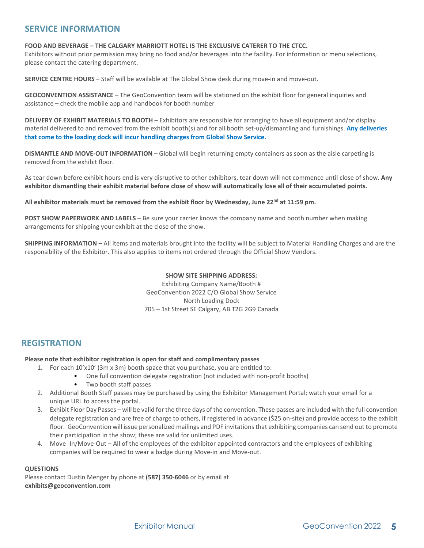## **SERVICE INFORMATION**

**FOOD AND BEVERAGE – THE CALGARY MARRIOTT HOTEL IS THE EXCLUSIVE CATERER TO THE CTCC.**

Exhibitors without prior permission may bring no food and/or beverages into the facility. For information or menu selections, please contact the catering department.

**SERVICE CENTRE HOURS** – Staff will be available at The Global Show desk during move-in and move-out.

**GEOCONVENTION ASSISTANCE** – The GeoConvention team will be stationed on the exhibit floor for general inquiries and assistance – check the mobile app and handbook for booth number

**DELIVERY OF EXHIBIT MATERIALS TO BOOTH** – Exhibitors are responsible for arranging to have all equipment and/or display material delivered to and removed from the exhibit booth(s) and for all booth set-up/dismantling and furnishings. **Any deliveries that come to the loading dock will incur handling charges from Global Show Service.** 

**DISMANTLE AND MOVE-OUT INFORMATION** – Global will begin returning empty containers as soon as the aisle carpeting is removed from the exhibit floor.

As tear down before exhibit hours end is very disruptive to other exhibitors, tear down will not commence until close of show. **Any exhibitor dismantling their exhibit material before close of show will automatically lose all of their accumulated points.**

**All exhibitor materials must be removed from the exhibit floor by Wednesday, June 22nd at 11:59 pm.**

**POST SHOW PAPERWORK AND LABELS** – Be sure your carrier knows the company name and booth number when making arrangements for shipping your exhibit at the close of the show.

**SHIPPING INFORMATION** – All items and materials brought into the facility will be subject to Material Handling Charges and are the responsibility of the Exhibitor. This also applies to items not ordered through the Official Show Vendors.

## **SHOW SITE SHIPPING ADDRESS:**

Exhibiting Company Name/Booth # GeoConvention 2022 C/O Global Show Service North Loading Dock 705 – 1st Street SE Calgary, AB T2G 2G9 Canada

## **REGISTRATION**

## **Please note that exhibitor registration is open for staff and complimentary passes**

- 1. For each 10'x10' (3m x 3m) booth space that you purchase, you are entitled to:
	- One full convention delegate registration (not included with non-profit booths)
	- Two booth staff passes
- 2. Additional Booth Staff passes may be purchased by using the Exhibitor Management Portal; watch your email for a unique URL to access the portal.
- 3. Exhibit Floor Day Passes will be valid for the three days of the convention. These passes are included with the full convention delegate registration and are free of charge to others, if registered in advance (\$25 on-site) and provide access to the exhibit floor. GeoConvention will issue personalized mailings and PDF invitations that exhibiting companies can send out to promote their participation in the show; these are valid for unlimited uses.
- 4. Move -In/Move-Out All of the employees of the exhibitor appointed contractors and the employees of exhibiting companies will be required to wear a badge during Move-in and Move-out.

## **QUESTIONS**

Please contact Dustin Menger by phone at **(587) 350-6046** or by email at **[exhibits@geoconvention.com](mailto:exhibits@geoconvention.com)**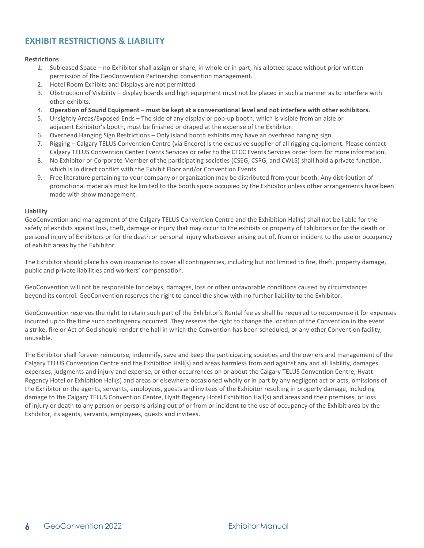## **EXHIBIT RESTRICTIONS & LIABILITY**

#### **Restrictions**

- 1. Subleased Space no Exhibitor shall assign or share, in whole or in part, his allotted space without prior written permission of the GeoConvention Partnership convention management.
- 2. Hotel Room Exhibits and Displays are not permitted.
- 3. Obstruction of Visibility display boards and high equipment must not be placed in such a manner as to interfere with other exhibits.
- 4. **Operation of Sound Equipment – must be kept at a conversational level and not interfere with other exhibitors.**
- 5. Unsightly Areas/Exposed Ends The side of any display or pop-up booth, which is visible from an aisle or adjacent Exhibitor's booth, must be finished or draped at the expense of the Exhibitor.
- 6. Overhead Hanging Sign Restrictions Only island booth exhibits may have an overhead hanging sign.
- 7. Rigging Calgary TELUS Convention Centre (via Encore) is the exclusive supplier of all rigging equipment. Please contact Calgary TELUS Convention Center Events Services or refer to the CTCC Events Services order form for more information.
- 8. No Exhibitor or Corporate Member of the participating societies (CSEG, CSPG, and CWLS) shall hold a private function, which is in direct conflict with the Exhibit Floor and/or Convention Events.
- 9. Free literature pertaining to your company or organization may be distributed from your booth. Any distribution of promotional materials must be limited to the booth space occupied by the Exhibitor unless other arrangements have been made with show management.

#### **Liability**

GeoConvention and management of the Calgary TELUS Convention Centre and the Exhibition Hall(s) shall not be liable for the safety of exhibits against loss, theft, damage or injury that may occur to the exhibits or property of Exhibitors or for the death or personal injury of Exhibitors or for the death or personal injury whatsoever arising out of, from or incident to the use or occupancy of exhibit areas by the Exhibitor.

The Exhibitor should place his own insurance to cover all contingencies, including but not limited to fire, theft, property damage, public and private liabilities and workers' compensation.

GeoConvention will not be responsible for delays, damages, loss or other unfavorable conditions caused by circumstances beyond its control. GeoConvention reserves the right to cancel the show with no further liability to the Exhibitor.

GeoConvention reserves the right to retain such part of the Exhibitor's Rental fee as shall be required to recompense it for expenses incurred up to the time such contingency occurred. They reserve the right to change the location of the Convention in the event a strike, fire or Act of God should render the hall in which the Convention has been scheduled, or any other Convention facility, unusable.

The Exhibitor shall forever reimburse, indemnify, save and keep the participating societies and the owners and management of the Calgary TELUS Convention Centre and the Exhibition Hall(s) and areas harmless from and against any and all liability, damages, expenses, judgments and injury and expense, or other occurrences on or about the Calgary TELUS Convention Centre, Hyatt Regency Hotel or Exhibition Hall(s) and areas or elsewhere occasioned wholly or in part by any negligent act or acts, omissions of the Exhibitor or the agents, servants, employees, guests and invitees of the Exhibitor resulting in property damage, including damage to the Calgary TELUS Convention Centre, Hyatt Regency Hotel Exhibition Hall(s) and areas and their premises, or loss of injury or death to any person or persons arising out of or from or incident to the use of occupancy of the Exhibit area by the Exhibitor, its agents, servants, employees, quests and invitees.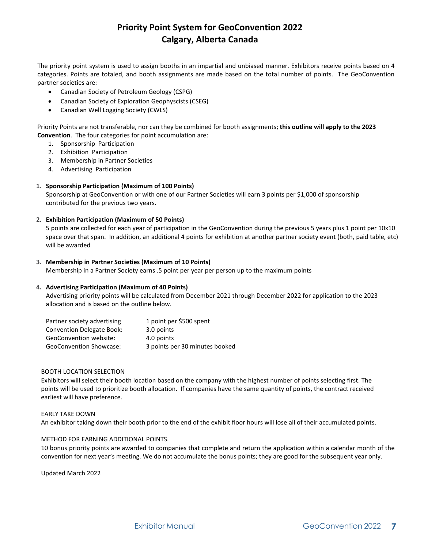## **Priority Point System for GeoConvention 2022 Calgary, Alberta Canada**

The priority point system is used to assign booths in an impartial and unbiased manner. Exhibitors receive points based on 4 categories. Points are totaled, and booth assignments are made based on the total number of points. The GeoConvention partner societies are:

- Canadian Society of Petroleum Geology (CSPG)
- Canadian Society of Exploration Geophyscists (CSEG)
- Canadian Well Logging Society (CWLS)

Priority Points are not transferable, nor can they be combined for booth assignments; **this outline will apply to the 2023 Convention**. The four categories for point accumulation are:

- 1. Sponsorship Participation
- 2. Exhibition Participation
- 3. Membership in Partner Societies
- 4. Advertising Participation

## **1. Sponsorship Participation (Maximum of 100 Points)**

Sponsorship at GeoConvention or with one of our Partner Societies will earn 3 points per \$1,000 of sponsorship contributed for the previous two years.

## **2. Exhibition Participation (Maximum of 50 Points)**

5 points are collected for each year of participation in the GeoConvention during the previous 5 years plus 1 point per 10x10 space over that span. In addition, an additional 4 points for exhibition at another partner society event (both, paid table, etc) will be awarded

## **3. Membership in Partner Societies (Maximum of 10 Points)**

Membership in a Partner Society earns .5 point per year per person up to the maximum points

## **4. Advertising Participation (Maximum of 40 Points)**

Advertising priority points will be calculated from December 2021 through December 2022 for application to the 2023 allocation and is based on the outline below.

| Partner society advertising      | 1 point per \$500 spent        |
|----------------------------------|--------------------------------|
| <b>Convention Delegate Book:</b> | 3.0 points                     |
| GeoConvention website:           | 4.0 points                     |
| <b>GeoConvention Showcase:</b>   | 3 points per 30 minutes booked |

## BOOTH LOCATION SELECTION

Exhibitors will select their booth location based on the company with the highest number of points selecting first. The points will be used to prioritize booth allocation. If companies have the same quantity of points, the contract received earliest will have preference.

#### EARLY TAKE DOWN An exhibitor taking down their booth prior to the end of the exhibit floor hours will lose all of their accumulated points.

## METHOD FOR EARNING ADDITIONAL POINTS.

10 bonus priority points are awarded to companies that complete and return the application within a calendar month of the convention for next year's meeting. We do not accumulate the bonus points; they are good for the subsequent year only.

Updated March 2022